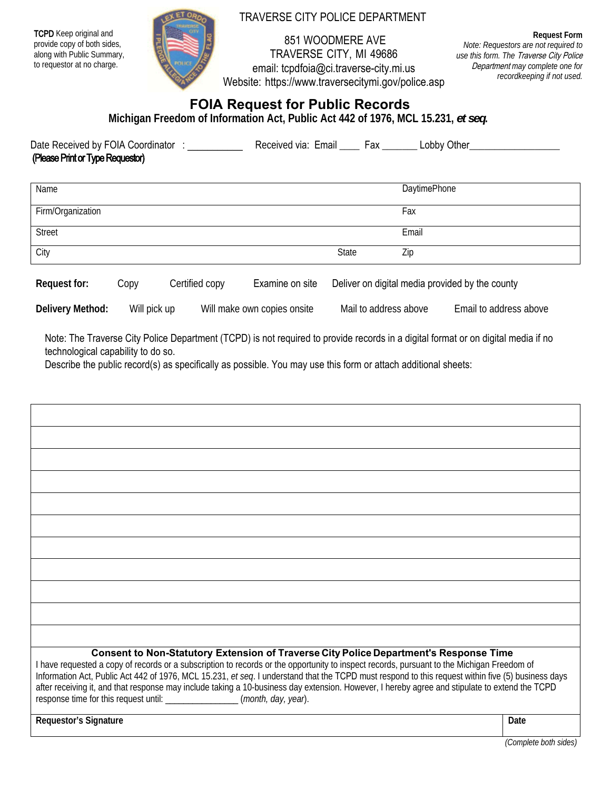**TCPD** Keep original and provide copy of both sides, along with Public Summary, to requestor at no charge.



## TRAVERSE CITY POLICE DEPARTMENT

 851 WOODMERE AVE TRAVERSE CITY, MI 49686 email: tcpdfoia@ci.traverse-city.mi.us Website: https://www.traversecitymi.gov/police.asp

 *Note: Requestors are not required to*  **Request Form**  *use this form. The* Traverse City Police Department *may complete one for recordkeeping if not used.*

## **FOIA Request for Public Records**

**Michigan Freedom of Information Act, Public Act 442 of 1976, MCL 15.231,** *et seq***.** 

| Date Received by FOIA Coordinator | Received via: Email | Fax | Lobby Other |
|-----------------------------------|---------------------|-----|-------------|
| (Please Print or Type Requestor)  |                     |     |             |

| Name              |       | <b>DaytimePhone</b> |
|-------------------|-------|---------------------|
| Firm/Organization |       | Fax                 |
| Street            |       | Email               |
| City              | State | Zip                 |

| Request for: | $\mathcal{L}$ opy | Certified copy | Examine on site | Deliver on digital media provided by the county |
|--------------|-------------------|----------------|-----------------|-------------------------------------------------|
|--------------|-------------------|----------------|-----------------|-------------------------------------------------|

| Delivery Method: | Will pick up | Will make own copies onsite | Mail to address above | Email to address above |
|------------------|--------------|-----------------------------|-----------------------|------------------------|
|------------------|--------------|-----------------------------|-----------------------|------------------------|

Note: The Traverse City Police Department (TCPD) is not required to provide records in a digital format or on digital media if no technological capability to do so.

Describe the public record(s) as specifically as possible. You may use this form or attach additional sheets:

| Consent to Non-Statutory Extension of Traverse City Police Department's Response Time<br>I have requested a copy of records or a subscription to records or the opportunity to inspect records, pursuant to the Michigan Freedom of<br>Information Act, Public Act 442 of 1976, MCL 15.231, et seq. I understand that the TCPD must respond to this request within five (5) business days<br>after receiving it, and that response may include taking a 10-business day extension. However, I hereby agree and stipulate to extend the TCPD<br>response time for this request until: _______________(month, day, year). |      |
|-------------------------------------------------------------------------------------------------------------------------------------------------------------------------------------------------------------------------------------------------------------------------------------------------------------------------------------------------------------------------------------------------------------------------------------------------------------------------------------------------------------------------------------------------------------------------------------------------------------------------|------|
| Requestor's Signature                                                                                                                                                                                                                                                                                                                                                                                                                                                                                                                                                                                                   | Date |

*(Complete both sides)*